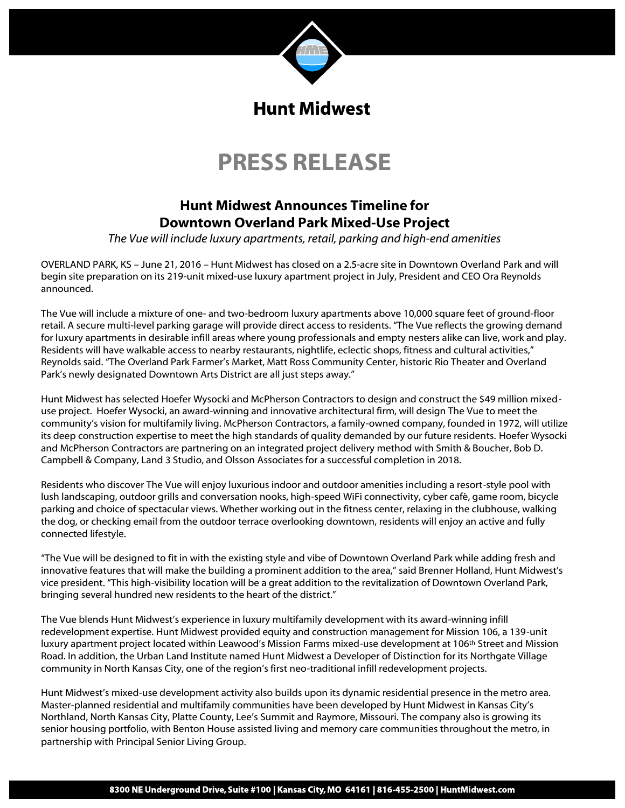

## **PRESS RELEASE**

## **Hunt Midwest Announces Timeline for Downtown Overland Park Mixed-Use Project**

*The Vue will include luxury apartments, retail, parking and high-end amenities*

OVERLAND PARK, KS – June 21, 2016 – Hunt Midwest has closed on a 2.5-acre site in Downtown Overland Park and will begin site preparation on its 219-unit mixed-use luxury apartment project in July, President and CEO Ora Reynolds announced.

The Vue will include a mixture of one- and two-bedroom luxury apartments above 10,000 square feet of ground-floor retail. A secure multi-level parking garage will provide direct access to residents. "The Vue reflects the growing demand for luxury apartments in desirable infill areas where young professionals and empty nesters alike can live, work and play. Residents will have walkable access to nearby restaurants, nightlife, eclectic shops, fitness and cultural activities," Reynolds said. "The Overland Park Farmer's Market, Matt Ross Community Center, historic Rio Theater and Overland Park's newly designated Downtown Arts District are all just steps away."

Hunt Midwest has selected Hoefer Wysocki and McPherson Contractors to design and construct the \$49 million mixeduse project. Hoefer Wysocki, an award-winning and innovative architectural firm, will design The Vue to meet the community's vision for multifamily living. McPherson Contractors, a family-owned company, founded in 1972, will utilize its deep construction expertise to meet the high standards of quality demanded by our future residents. Hoefer Wysocki and McPherson Contractors are partnering on an integrated project delivery method with Smith & Boucher, Bob D. Campbell & Company, Land 3 Studio, and Olsson Associates for a successful completion in 2018.

Residents who discover The Vue will enjoy luxurious indoor and outdoor amenities including a resort-style pool with lush landscaping, outdoor grills and conversation nooks, high-speed WiFi connectivity, cyber café, game room, bicycle parking and choice of spectacular views. Whether working out in the fitness center, relaxing in the clubhouse, walking the dog, or checking email from the outdoor terrace overlooking downtown, residents will enjoy an active and fully connected lifestyle.

"The Vue will be designed to fit in with the existing style and vibe of Downtown Overland Park while adding fresh and innovative features that will make the building a prominent addition to the area," said Brenner Holland, Hunt Midwest's vice president. "This high-visibility location will be a great addition to the revitalization of Downtown Overland Park, bringing several hundred new residents to the heart of the district."

The Vue blends Hunt Midwest's experience in luxury multifamily development with its award-winning infill redevelopment expertise. Hunt Midwest provided equity and construction management for Mission 106, a 139-unit luxury apartment project located within Leawood's Mission Farms mixed-use development at 106th Street and Mission Road. In addition, the Urban Land Institute named Hunt Midwest a Developer of Distinction for its Northgate Village community in North Kansas City, one of the region's first neo-traditional infill redevelopment projects.

Hunt Midwest's mixed-use development activity also builds upon its dynamic residential presence in the metro area. Master-planned residential and multifamily communities have been developed by Hunt Midwest in Kansas City's Northland, North Kansas City, Platte County, Lee's Summit and Raymore, Missouri. The company also is growing its senior housing portfolio, with Benton House assisted living and memory care communities throughout the metro, in partnership with Principal Senior Living Group.